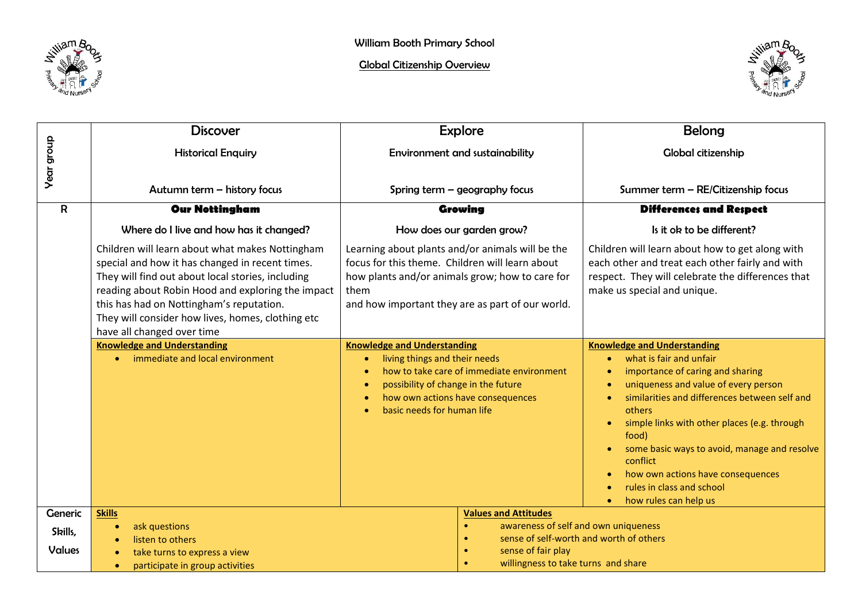



|                   | <b>Discover</b>                                                                                                                                                                                                                                                                                                                             |                                                                                                                                                                                                                                                          | <b>Explore</b>                                                                                            | <b>Belong</b>                                                                                                                                                                          |
|-------------------|---------------------------------------------------------------------------------------------------------------------------------------------------------------------------------------------------------------------------------------------------------------------------------------------------------------------------------------------|----------------------------------------------------------------------------------------------------------------------------------------------------------------------------------------------------------------------------------------------------------|-----------------------------------------------------------------------------------------------------------|----------------------------------------------------------------------------------------------------------------------------------------------------------------------------------------|
|                   | <b>Historical Enquiry</b>                                                                                                                                                                                                                                                                                                                   | Environment and sustainability                                                                                                                                                                                                                           |                                                                                                           | Global citizenship                                                                                                                                                                     |
| <b>Year group</b> |                                                                                                                                                                                                                                                                                                                                             |                                                                                                                                                                                                                                                          |                                                                                                           |                                                                                                                                                                                        |
|                   |                                                                                                                                                                                                                                                                                                                                             |                                                                                                                                                                                                                                                          |                                                                                                           |                                                                                                                                                                                        |
|                   | Autumn term - history focus                                                                                                                                                                                                                                                                                                                 |                                                                                                                                                                                                                                                          | Spring term - geography focus                                                                             | Summer term - RE/Citizenship focus                                                                                                                                                     |
| R                 | <b>Our Nottingham</b>                                                                                                                                                                                                                                                                                                                       |                                                                                                                                                                                                                                                          | Growing                                                                                                   | <b>Differences and Respect</b>                                                                                                                                                         |
|                   | Where do I live and how has it changed?                                                                                                                                                                                                                                                                                                     |                                                                                                                                                                                                                                                          | How does our garden grow?                                                                                 | Is it ok to be different?                                                                                                                                                              |
|                   | Children will learn about what makes Nottingham<br>special and how it has changed in recent times.<br>They will find out about local stories, including<br>reading about Robin Hood and exploring the impact<br>this has had on Nottingham's reputation.<br>They will consider how lives, homes, clothing etc<br>have all changed over time | Learning about plants and/or animals will be the<br>focus for this theme. Children will learn about<br>how plants and/or animals grow; how to care for<br>them<br>and how important they are as part of our world.<br><b>Knowledge and Understanding</b> |                                                                                                           | Children will learn about how to get along with<br>each other and treat each other fairly and with<br>respect. They will celebrate the differences that<br>make us special and unique. |
|                   | <b>Knowledge and Understanding</b>                                                                                                                                                                                                                                                                                                          |                                                                                                                                                                                                                                                          |                                                                                                           | <b>Knowledge and Understanding</b>                                                                                                                                                     |
|                   | immediate and local environment<br>$\bullet$                                                                                                                                                                                                                                                                                                | living things and their needs<br>how to take care of immediate environment                                                                                                                                                                               |                                                                                                           | what is fair and unfair<br>$\bullet$<br>importance of caring and sharing                                                                                                               |
|                   |                                                                                                                                                                                                                                                                                                                                             | possibility of change in the future                                                                                                                                                                                                                      |                                                                                                           | uniqueness and value of every person                                                                                                                                                   |
|                   |                                                                                                                                                                                                                                                                                                                                             | how own actions have consequences                                                                                                                                                                                                                        |                                                                                                           | similarities and differences between self and                                                                                                                                          |
|                   |                                                                                                                                                                                                                                                                                                                                             | basic needs for human life                                                                                                                                                                                                                               |                                                                                                           | others                                                                                                                                                                                 |
|                   |                                                                                                                                                                                                                                                                                                                                             |                                                                                                                                                                                                                                                          |                                                                                                           | simple links with other places (e.g. through<br>$\bullet$<br>food)                                                                                                                     |
|                   |                                                                                                                                                                                                                                                                                                                                             |                                                                                                                                                                                                                                                          |                                                                                                           | some basic ways to avoid, manage and resolve<br>$\bullet$<br>conflict                                                                                                                  |
|                   |                                                                                                                                                                                                                                                                                                                                             |                                                                                                                                                                                                                                                          |                                                                                                           | how own actions have consequences                                                                                                                                                      |
|                   |                                                                                                                                                                                                                                                                                                                                             |                                                                                                                                                                                                                                                          |                                                                                                           | rules in class and school                                                                                                                                                              |
|                   |                                                                                                                                                                                                                                                                                                                                             |                                                                                                                                                                                                                                                          |                                                                                                           | how rules can help us                                                                                                                                                                  |
| Generic           | <b>Skills</b>                                                                                                                                                                                                                                                                                                                               |                                                                                                                                                                                                                                                          | <b>Values and Attitudes</b>                                                                               |                                                                                                                                                                                        |
| Skills,           | ask questions<br>$\bullet$<br>listen to others                                                                                                                                                                                                                                                                                              |                                                                                                                                                                                                                                                          | awareness of self and own uniqueness<br>$\bullet$<br>sense of self-worth and worth of others<br>$\bullet$ |                                                                                                                                                                                        |
| <b>Values</b>     | take turns to express a view                                                                                                                                                                                                                                                                                                                |                                                                                                                                                                                                                                                          | sense of fair play<br>$\bullet$                                                                           |                                                                                                                                                                                        |
|                   | participate in group activities<br>$\bullet$                                                                                                                                                                                                                                                                                                |                                                                                                                                                                                                                                                          | willingness to take turns and share<br>$\bullet$                                                          |                                                                                                                                                                                        |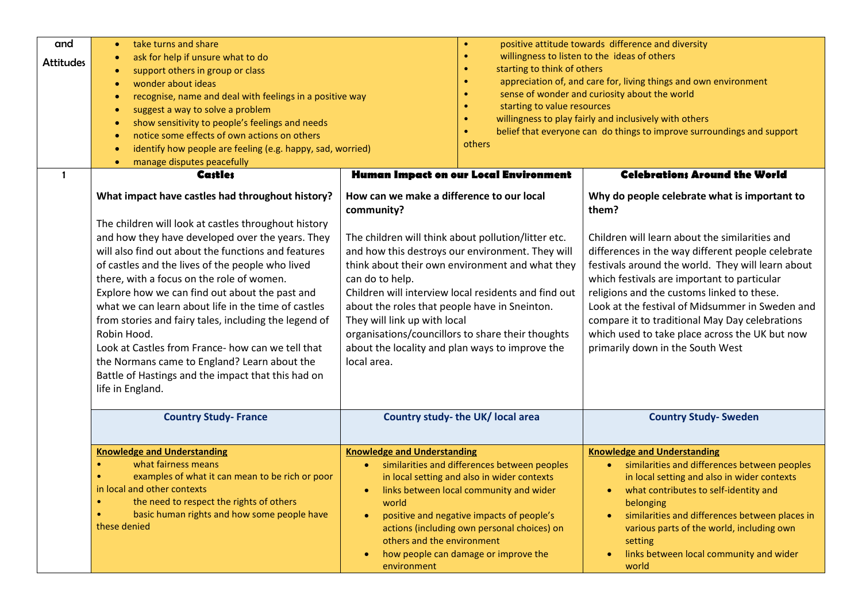| and<br><b>Attitudes</b> | take turns and share<br>ask for help if unsure what to do<br>support others in group or class<br>wonder about ideas<br>$\bullet$<br>recognise, name and deal with feelings in a positive way<br>suggest a way to solve a problem<br>$\bullet$<br>show sensitivity to people's feelings and needs<br>$\bullet$<br>notice some effects of own actions on others<br>$\bullet$<br>identify how people are feeling (e.g. happy, sad, worried)<br>manage disputes peacefully<br>$\bullet$                                                                                                                                                                                                  | $\bullet$<br>$\bullet$<br>$\bullet$<br>$\bullet$<br>$\bullet$<br>$\bullet$<br>$\bullet$<br>others                                                                                                                                                                                                                                                                                                                                                                                                        | positive attitude towards difference and diversity<br>willingness to listen to the ideas of others<br>starting to think of others<br>appreciation of, and care for, living things and own environment<br>sense of wonder and curiosity about the world<br>starting to value resources<br>willingness to play fairly and inclusively with others<br>belief that everyone can do things to improve surroundings and support                                                                                 |  |
|-------------------------|--------------------------------------------------------------------------------------------------------------------------------------------------------------------------------------------------------------------------------------------------------------------------------------------------------------------------------------------------------------------------------------------------------------------------------------------------------------------------------------------------------------------------------------------------------------------------------------------------------------------------------------------------------------------------------------|----------------------------------------------------------------------------------------------------------------------------------------------------------------------------------------------------------------------------------------------------------------------------------------------------------------------------------------------------------------------------------------------------------------------------------------------------------------------------------------------------------|-----------------------------------------------------------------------------------------------------------------------------------------------------------------------------------------------------------------------------------------------------------------------------------------------------------------------------------------------------------------------------------------------------------------------------------------------------------------------------------------------------------|--|
| 1                       | <b>Castles</b>                                                                                                                                                                                                                                                                                                                                                                                                                                                                                                                                                                                                                                                                       | Human Impact on our Local Environment                                                                                                                                                                                                                                                                                                                                                                                                                                                                    | <b>Celebrations Around the World</b>                                                                                                                                                                                                                                                                                                                                                                                                                                                                      |  |
|                         | What impact have castles had throughout history?<br>The children will look at castles throughout history<br>and how they have developed over the years. They<br>will also find out about the functions and features<br>of castles and the lives of the people who lived<br>there, with a focus on the role of women.<br>Explore how we can find out about the past and<br>what we can learn about life in the time of castles<br>from stories and fairy tales, including the legend of<br>Robin Hood.<br>Look at Castles from France- how can we tell that<br>the Normans came to England? Learn about the<br>Battle of Hastings and the impact that this had on<br>life in England. | How can we make a difference to our local<br>community?<br>The children will think about pollution/litter etc.<br>and how this destroys our environment. They will<br>think about their own environment and what they<br>can do to help.<br>Children will interview local residents and find out<br>about the roles that people have in Sneinton.<br>They will link up with local<br>organisations/councillors to share their thoughts<br>about the locality and plan ways to improve the<br>local area. | Why do people celebrate what is important to<br>them?<br>Children will learn about the similarities and<br>differences in the way different people celebrate<br>festivals around the world. They will learn about<br>which festivals are important to particular<br>religions and the customs linked to these.<br>Look at the festival of Midsummer in Sweden and<br>compare it to traditional May Day celebrations<br>which used to take place across the UK but now<br>primarily down in the South West |  |
|                         | <b>Country Study-France</b>                                                                                                                                                                                                                                                                                                                                                                                                                                                                                                                                                                                                                                                          | Country study- the UK/ local area                                                                                                                                                                                                                                                                                                                                                                                                                                                                        | <b>Country Study- Sweden</b>                                                                                                                                                                                                                                                                                                                                                                                                                                                                              |  |
|                         | <b>Knowledge and Understanding</b><br>what fairness means<br>$\bullet$<br>examples of what it can mean to be rich or poor<br>$\bullet$<br>in local and other contexts<br>the need to respect the rights of others<br>$\bullet$<br>basic human rights and how some people have<br>these denied                                                                                                                                                                                                                                                                                                                                                                                        | <b>Knowledge and Understanding</b><br>similarities and differences between peoples<br>$\bullet$<br>in local setting and also in wider contexts<br>links between local community and wider<br>$\bullet$<br>world<br>positive and negative impacts of people's<br>$\bullet$<br>actions (including own personal choices) on<br>others and the environment<br>how people can damage or improve the<br>$\bullet$<br>environment                                                                               | <b>Knowledge and Understanding</b><br>similarities and differences between peoples<br>$\bullet$<br>in local setting and also in wider contexts<br>what contributes to self-identity and<br>$\bullet$<br>belonging<br>similarities and differences between places in<br>various parts of the world, including own<br>setting<br>links between local community and wider<br>$\bullet$<br>world                                                                                                              |  |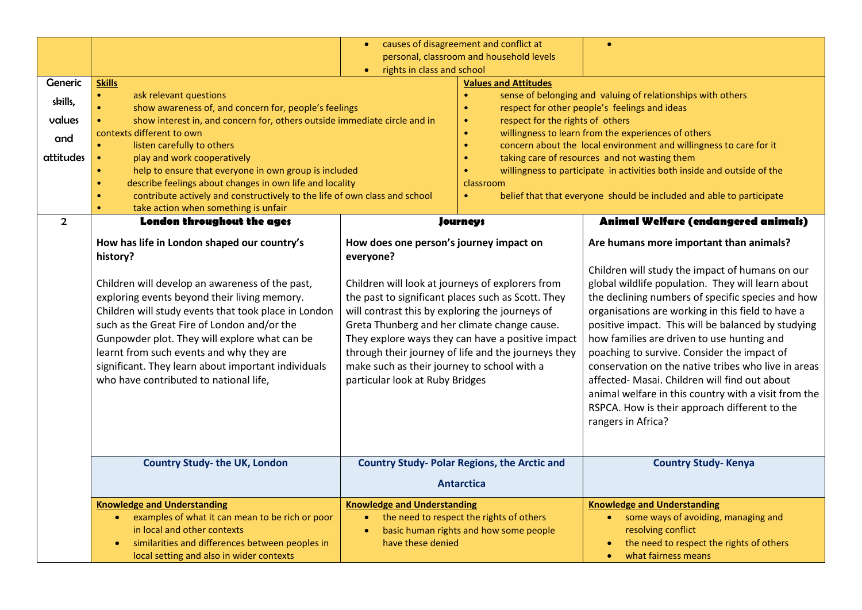|                |                                                                                                                                                              | causes of disagreement and conflict at<br>$\bullet$                                                                 |                                                                                                | $\bullet$                                                               |
|----------------|--------------------------------------------------------------------------------------------------------------------------------------------------------------|---------------------------------------------------------------------------------------------------------------------|------------------------------------------------------------------------------------------------|-------------------------------------------------------------------------|
|                |                                                                                                                                                              | personal, classroom and household levels                                                                            |                                                                                                |                                                                         |
|                |                                                                                                                                                              | rights in class and school<br>$\bullet$                                                                             |                                                                                                |                                                                         |
| <b>Generic</b> | <b>Skills</b>                                                                                                                                                |                                                                                                                     | <b>Values and Attitudes</b>                                                                    |                                                                         |
| skills,        | $\bullet$<br>ask relevant questions                                                                                                                          |                                                                                                                     | sense of belonging and valuing of relationships with others<br>$\bullet$                       |                                                                         |
| values         | show awareness of, and concern for, people's feelings<br>$\bullet$<br>show interest in, and concern for, others outside immediate circle and in<br>$\bullet$ |                                                                                                                     | respect for other people's feelings and ideas<br>$\bullet$<br>respect for the rights of others |                                                                         |
|                | contexts different to own                                                                                                                                    |                                                                                                                     | $\bullet$<br>willingness to learn from the experiences of others<br>$\bullet$                  |                                                                         |
| and            | listen carefully to others<br>$\bullet$                                                                                                                      |                                                                                                                     | concern about the local environment and willingness to care for it<br>$\bullet$                |                                                                         |
| attitudes      | play and work cooperatively<br>$\bullet$                                                                                                                     |                                                                                                                     | taking care of resources and not wasting them<br>$\bullet$                                     |                                                                         |
|                | help to ensure that everyone in own group is included                                                                                                        |                                                                                                                     |                                                                                                | willingness to participate in activities both inside and outside of the |
|                | describe feelings about changes in own life and locality<br>$\bullet$                                                                                        |                                                                                                                     | classroom                                                                                      |                                                                         |
|                | contribute actively and constructively to the life of own class and school                                                                                   |                                                                                                                     | $\bullet$                                                                                      | belief that that everyone should be included and able to participate    |
|                | take action when something is unfair<br>$\bullet$                                                                                                            |                                                                                                                     |                                                                                                |                                                                         |
| $\overline{2}$ | London throughout the age;                                                                                                                                   |                                                                                                                     | <b>Journeys</b>                                                                                | Animal Welfare (endangered animals)                                     |
|                | How has life in London shaped our country's                                                                                                                  | How does one person's journey impact on                                                                             |                                                                                                | Are humans more important than animals?                                 |
|                | history?                                                                                                                                                     | everyone?<br>Children will look at journeys of explorers from<br>the past to significant places such as Scott. They |                                                                                                |                                                                         |
|                |                                                                                                                                                              |                                                                                                                     |                                                                                                | Children will study the impact of humans on our                         |
|                | Children will develop an awareness of the past,                                                                                                              |                                                                                                                     |                                                                                                | global wildlife population. They will learn about                       |
|                | exploring events beyond their living memory.                                                                                                                 |                                                                                                                     |                                                                                                | the declining numbers of specific species and how                       |
|                | Children will study events that took place in London                                                                                                         | will contrast this by exploring the journeys of                                                                     |                                                                                                | organisations are working in this field to have a                       |
|                | such as the Great Fire of London and/or the                                                                                                                  | Greta Thunberg and her climate change cause.                                                                        |                                                                                                | positive impact. This will be balanced by studying                      |
|                | Gunpowder plot. They will explore what can be                                                                                                                | They explore ways they can have a positive impact                                                                   |                                                                                                | how families are driven to use hunting and                              |
|                |                                                                                                                                                              |                                                                                                                     |                                                                                                |                                                                         |
|                | learnt from such events and why they are                                                                                                                     | through their journey of life and the journeys they                                                                 |                                                                                                | poaching to survive. Consider the impact of                             |
|                | significant. They learn about important individuals                                                                                                          | make such as their journey to school with a                                                                         |                                                                                                | conservation on the native tribes who live in areas                     |
|                | who have contributed to national life,                                                                                                                       | particular look at Ruby Bridges                                                                                     |                                                                                                | affected- Masai. Children will find out about                           |
|                |                                                                                                                                                              |                                                                                                                     |                                                                                                | animal welfare in this country with a visit from the                    |
|                |                                                                                                                                                              |                                                                                                                     |                                                                                                | RSPCA. How is their approach different to the                           |
|                |                                                                                                                                                              |                                                                                                                     |                                                                                                | rangers in Africa?                                                      |
|                |                                                                                                                                                              |                                                                                                                     |                                                                                                |                                                                         |
|                |                                                                                                                                                              |                                                                                                                     |                                                                                                |                                                                         |
|                | <b>Country Study- the UK, London</b>                                                                                                                         | <b>Country Study- Polar Regions, the Arctic and</b><br><b>Antarctica</b>                                            |                                                                                                | <b>Country Study-Kenya</b>                                              |
|                |                                                                                                                                                              |                                                                                                                     |                                                                                                |                                                                         |
|                | <b>Knowledge and Understanding</b>                                                                                                                           | <b>Knowledge and Understanding</b>                                                                                  |                                                                                                | <b>Knowledge and Understanding</b>                                      |
|                | examples of what it can mean to be rich or poor<br>$\bullet$                                                                                                 | $\bullet$                                                                                                           | the need to respect the rights of others                                                       | some ways of avoiding, managing and<br>$\bullet$                        |
|                | in local and other contexts                                                                                                                                  | $\bullet$                                                                                                           | basic human rights and how some people                                                         | resolving conflict                                                      |
|                | similarities and differences between peoples in                                                                                                              | have these denied                                                                                                   |                                                                                                | the need to respect the rights of others                                |
|                | local setting and also in wider contexts                                                                                                                     |                                                                                                                     |                                                                                                | what fairness means<br>$\bullet$                                        |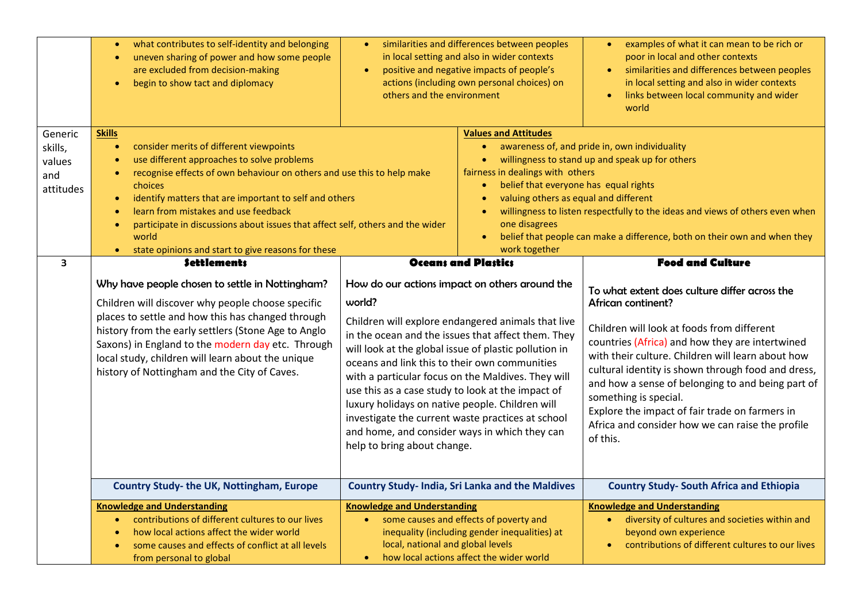|                                                                                                                                                                                                                                                                                                                                                                                                       | what contributes to self-identity and belonging<br>uneven sharing of power and how some people<br>are excluded from decision-making<br>begin to show tact and diplomacy<br>$\bullet$                                                                                                                                                                                                                                                                      | similarities and differences between peoples<br>in local setting and also in wider contexts<br>positive and negative impacts of people's<br>$\bullet$<br>actions (including own personal choices) on<br>others and the environment                                                                                                                                                                                                                                    |                                                                                                                                                                                                                                                                                                                                                                                                                                                                | examples of what it can mean to be rich or<br>$\bullet$<br>poor in local and other contexts<br>similarities and differences between peoples<br>$\bullet$<br>in local setting and also in wider contexts<br>links between local community and wider<br>$\bullet$<br>world                                                                                                                                                                                                                                   |  |
|-------------------------------------------------------------------------------------------------------------------------------------------------------------------------------------------------------------------------------------------------------------------------------------------------------------------------------------------------------------------------------------------------------|-----------------------------------------------------------------------------------------------------------------------------------------------------------------------------------------------------------------------------------------------------------------------------------------------------------------------------------------------------------------------------------------------------------------------------------------------------------|-----------------------------------------------------------------------------------------------------------------------------------------------------------------------------------------------------------------------------------------------------------------------------------------------------------------------------------------------------------------------------------------------------------------------------------------------------------------------|----------------------------------------------------------------------------------------------------------------------------------------------------------------------------------------------------------------------------------------------------------------------------------------------------------------------------------------------------------------------------------------------------------------------------------------------------------------|------------------------------------------------------------------------------------------------------------------------------------------------------------------------------------------------------------------------------------------------------------------------------------------------------------------------------------------------------------------------------------------------------------------------------------------------------------------------------------------------------------|--|
| Generic<br>skills,<br>values<br>and<br>attitudes                                                                                                                                                                                                                                                                                                                                                      | <b>Skills</b><br>consider merits of different viewpoints<br>$\bullet$<br>use different approaches to solve problems<br>recognise effects of own behaviour on others and use this to help make<br>$\bullet$<br>choices<br>identify matters that are important to self and others<br>$\bullet$<br>learn from mistakes and use feedback<br>$\bullet$<br>participate in discussions about issues that affect self, others and the wider<br>$\bullet$<br>world |                                                                                                                                                                                                                                                                                                                                                                                                                                                                       | <b>Values and Attitudes</b><br>awareness of, and pride in, own individuality<br>$\bullet$<br>willingness to stand up and speak up for others<br>fairness in dealings with others<br>belief that everyone has equal rights<br>$\bullet$<br>valuing others as equal and different<br>willingness to listen respectfully to the ideas and views of others even when<br>one disagrees<br>belief that people can make a difference, both on their own and when they |                                                                                                                                                                                                                                                                                                                                                                                                                                                                                                            |  |
|                                                                                                                                                                                                                                                                                                                                                                                                       | state opinions and start to give reasons for these                                                                                                                                                                                                                                                                                                                                                                                                        |                                                                                                                                                                                                                                                                                                                                                                                                                                                                       | work together                                                                                                                                                                                                                                                                                                                                                                                                                                                  |                                                                                                                                                                                                                                                                                                                                                                                                                                                                                                            |  |
| <b>Settlements</b><br>3<br>Why have people chosen to settle in Nottingham?<br>Children will discover why people choose specific<br>places to settle and how this has changed through<br>history from the early settlers (Stone Age to Anglo<br>Saxons) in England to the modern day etc. Through<br>local study, children will learn about the unique<br>history of Nottingham and the City of Caves. |                                                                                                                                                                                                                                                                                                                                                                                                                                                           | How do our actions impact on others around the<br>world?<br>will look at the global issue of plastic pollution in<br>oceans and link this to their own communities<br>with a particular focus on the Maldives. They will<br>use this as a case study to look at the impact of<br>luxury holidays on native people. Children will<br>investigate the current waste practices at school<br>and home, and consider ways in which they can<br>help to bring about change. | <b>Oceans and Plastics</b><br>Children will explore endangered animals that live<br>in the ocean and the issues that affect them. They                                                                                                                                                                                                                                                                                                                         | <b>Food and Culture</b><br>To what extent does culture differ across the<br>African continent?<br>Children will look at foods from different<br>countries (Africa) and how they are intertwined<br>with their culture. Children will learn about how<br>cultural identity is shown through food and dress,<br>and how a sense of belonging to and being part of<br>something is special.<br>Explore the impact of fair trade on farmers in<br>Africa and consider how we can raise the profile<br>of this. |  |
|                                                                                                                                                                                                                                                                                                                                                                                                       | Country Study-the UK, Nottingham, Europe                                                                                                                                                                                                                                                                                                                                                                                                                  |                                                                                                                                                                                                                                                                                                                                                                                                                                                                       | <b>Country Study- India, Sri Lanka and the Maldives</b>                                                                                                                                                                                                                                                                                                                                                                                                        | <b>Country Study- South Africa and Ethiopia</b>                                                                                                                                                                                                                                                                                                                                                                                                                                                            |  |
|                                                                                                                                                                                                                                                                                                                                                                                                       | <b>Knowledge and Understanding</b><br>contributions of different cultures to our lives<br>$\bullet$<br>how local actions affect the wider world<br>some causes and effects of conflict at all levels<br>from personal to global                                                                                                                                                                                                                           | <b>Knowledge and Understanding</b><br>some causes and effects of poverty and<br>$\bullet$<br>local, national and global levels<br>$\bullet$                                                                                                                                                                                                                                                                                                                           | inequality (including gender inequalities) at<br>how local actions affect the wider world                                                                                                                                                                                                                                                                                                                                                                      | <b>Knowledge and Understanding</b><br>• diversity of cultures and societies within and<br>beyond own experience<br>contributions of different cultures to our lives                                                                                                                                                                                                                                                                                                                                        |  |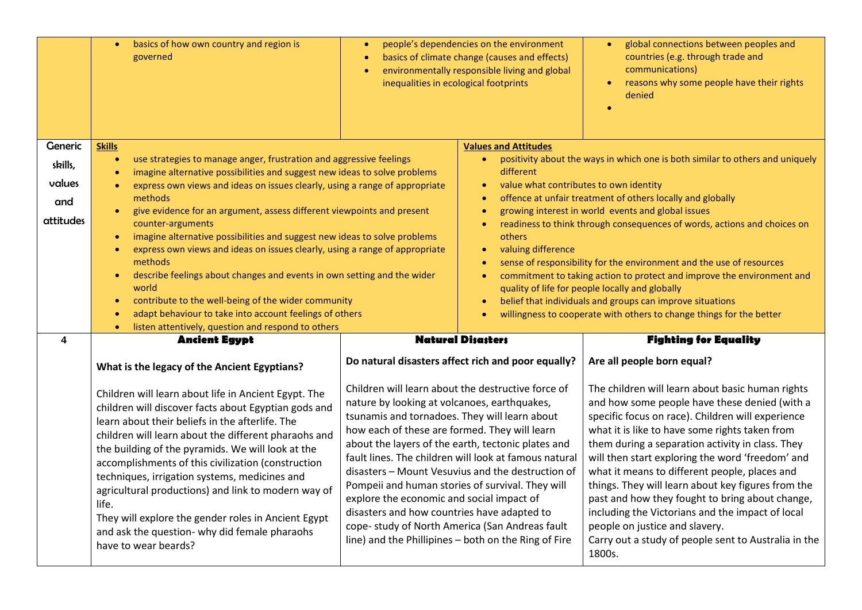|                                                                                                                                                                                                                                                                                                                                                                                                                                                                                                                                                                                     | basics of how own country and region is<br>$\bullet$<br>governed                               | $\bullet$<br>$\bullet$<br>inequalities in ecological footprints                                                                                                                                                                                                                                                                                                                                                                                                                                                                                                                                                                     | people's dependencies on the environment<br>basics of climate change (causes and effects)<br>environmentally responsible living and global | global connections between peoples and<br>$\bullet$<br>countries (e.g. through trade and<br>communications)<br>reasons why some people have their rights<br>denied                                                                                                                                                                                                                                                                                                                                                                                                                                                                 |  |
|-------------------------------------------------------------------------------------------------------------------------------------------------------------------------------------------------------------------------------------------------------------------------------------------------------------------------------------------------------------------------------------------------------------------------------------------------------------------------------------------------------------------------------------------------------------------------------------|------------------------------------------------------------------------------------------------|-------------------------------------------------------------------------------------------------------------------------------------------------------------------------------------------------------------------------------------------------------------------------------------------------------------------------------------------------------------------------------------------------------------------------------------------------------------------------------------------------------------------------------------------------------------------------------------------------------------------------------------|--------------------------------------------------------------------------------------------------------------------------------------------|------------------------------------------------------------------------------------------------------------------------------------------------------------------------------------------------------------------------------------------------------------------------------------------------------------------------------------------------------------------------------------------------------------------------------------------------------------------------------------------------------------------------------------------------------------------------------------------------------------------------------------|--|
| <b>Generic</b>                                                                                                                                                                                                                                                                                                                                                                                                                                                                                                                                                                      | <b>Skills</b>                                                                                  |                                                                                                                                                                                                                                                                                                                                                                                                                                                                                                                                                                                                                                     | <b>Values and Attitudes</b>                                                                                                                |                                                                                                                                                                                                                                                                                                                                                                                                                                                                                                                                                                                                                                    |  |
| skills,                                                                                                                                                                                                                                                                                                                                                                                                                                                                                                                                                                             | use strategies to manage anger, frustration and aggressive feelings<br>$\bullet$               |                                                                                                                                                                                                                                                                                                                                                                                                                                                                                                                                                                                                                                     | $\bullet$                                                                                                                                  | positivity about the ways in which one is both similar to others and uniquely                                                                                                                                                                                                                                                                                                                                                                                                                                                                                                                                                      |  |
|                                                                                                                                                                                                                                                                                                                                                                                                                                                                                                                                                                                     | imagine alternative possibilities and suggest new ideas to solve problems<br>$\bullet$         |                                                                                                                                                                                                                                                                                                                                                                                                                                                                                                                                                                                                                                     | different                                                                                                                                  |                                                                                                                                                                                                                                                                                                                                                                                                                                                                                                                                                                                                                                    |  |
| values                                                                                                                                                                                                                                                                                                                                                                                                                                                                                                                                                                              | express own views and ideas on issues clearly, using a range of appropriate<br>$\bullet$       |                                                                                                                                                                                                                                                                                                                                                                                                                                                                                                                                                                                                                                     | value what contributes to own identity<br>$\bullet$                                                                                        |                                                                                                                                                                                                                                                                                                                                                                                                                                                                                                                                                                                                                                    |  |
| and                                                                                                                                                                                                                                                                                                                                                                                                                                                                                                                                                                                 | methods<br>give evidence for an argument, assess different viewpoints and present<br>$\bullet$ |                                                                                                                                                                                                                                                                                                                                                                                                                                                                                                                                                                                                                                     | $\bullet$<br>$\bullet$                                                                                                                     | offence at unfair treatment of others locally and globally<br>growing interest in world events and global issues                                                                                                                                                                                                                                                                                                                                                                                                                                                                                                                   |  |
| attitudes                                                                                                                                                                                                                                                                                                                                                                                                                                                                                                                                                                           | counter-arguments                                                                              |                                                                                                                                                                                                                                                                                                                                                                                                                                                                                                                                                                                                                                     | $\bullet$                                                                                                                                  | readiness to think through consequences of words, actions and choices on                                                                                                                                                                                                                                                                                                                                                                                                                                                                                                                                                           |  |
|                                                                                                                                                                                                                                                                                                                                                                                                                                                                                                                                                                                     | imagine alternative possibilities and suggest new ideas to solve problems<br>$\bullet$         |                                                                                                                                                                                                                                                                                                                                                                                                                                                                                                                                                                                                                                     | others                                                                                                                                     |                                                                                                                                                                                                                                                                                                                                                                                                                                                                                                                                                                                                                                    |  |
|                                                                                                                                                                                                                                                                                                                                                                                                                                                                                                                                                                                     | express own views and ideas on issues clearly, using a range of appropriate<br>$\bullet$       | valuing difference<br>$\bullet$<br>$\bullet$                                                                                                                                                                                                                                                                                                                                                                                                                                                                                                                                                                                        |                                                                                                                                            |                                                                                                                                                                                                                                                                                                                                                                                                                                                                                                                                                                                                                                    |  |
|                                                                                                                                                                                                                                                                                                                                                                                                                                                                                                                                                                                     | methods                                                                                        |                                                                                                                                                                                                                                                                                                                                                                                                                                                                                                                                                                                                                                     |                                                                                                                                            | sense of responsibility for the environment and the use of resources                                                                                                                                                                                                                                                                                                                                                                                                                                                                                                                                                               |  |
|                                                                                                                                                                                                                                                                                                                                                                                                                                                                                                                                                                                     | describe feelings about changes and events in own setting and the wider<br>$\bullet$<br>world  | $\bullet$<br>quality of life for people locally and globally<br>$\bullet$                                                                                                                                                                                                                                                                                                                                                                                                                                                                                                                                                           |                                                                                                                                            | commitment to taking action to protect and improve the environment and                                                                                                                                                                                                                                                                                                                                                                                                                                                                                                                                                             |  |
|                                                                                                                                                                                                                                                                                                                                                                                                                                                                                                                                                                                     | contribute to the well-being of the wider community<br>$\bullet$                               |                                                                                                                                                                                                                                                                                                                                                                                                                                                                                                                                                                                                                                     |                                                                                                                                            | belief that individuals and groups can improve situations                                                                                                                                                                                                                                                                                                                                                                                                                                                                                                                                                                          |  |
|                                                                                                                                                                                                                                                                                                                                                                                                                                                                                                                                                                                     | adapt behaviour to take into account feelings of others<br>$\bullet$                           |                                                                                                                                                                                                                                                                                                                                                                                                                                                                                                                                                                                                                                     | willingness to cooperate with others to change things for the better                                                                       |                                                                                                                                                                                                                                                                                                                                                                                                                                                                                                                                                                                                                                    |  |
|                                                                                                                                                                                                                                                                                                                                                                                                                                                                                                                                                                                     | listen attentively, question and respond to others<br>$\bullet$                                |                                                                                                                                                                                                                                                                                                                                                                                                                                                                                                                                                                                                                                     |                                                                                                                                            |                                                                                                                                                                                                                                                                                                                                                                                                                                                                                                                                                                                                                                    |  |
| 4                                                                                                                                                                                                                                                                                                                                                                                                                                                                                                                                                                                   | <b>Ancient Egypt</b>                                                                           |                                                                                                                                                                                                                                                                                                                                                                                                                                                                                                                                                                                                                                     | <b>Natural Disasters</b>                                                                                                                   | <b>Fighting for Equality</b>                                                                                                                                                                                                                                                                                                                                                                                                                                                                                                                                                                                                       |  |
|                                                                                                                                                                                                                                                                                                                                                                                                                                                                                                                                                                                     | What is the legacy of the Ancient Egyptians?                                                   |                                                                                                                                                                                                                                                                                                                                                                                                                                                                                                                                                                                                                                     | Do natural disasters affect rich and poor equally?                                                                                         | Are all people born equal?                                                                                                                                                                                                                                                                                                                                                                                                                                                                                                                                                                                                         |  |
| Children will learn about life in Ancient Egypt. The<br>children will discover facts about Egyptian gods and<br>learn about their beliefs in the afterlife. The<br>children will learn about the different pharaohs and<br>the building of the pyramids. We will look at the<br>accomplishments of this civilization (construction<br>techniques, irrigation systems, medicines and<br>agricultural productions) and link to modern way of<br>life.<br>They will explore the gender roles in Ancient Egypt<br>and ask the question- why did female pharaohs<br>have to wear beards? |                                                                                                | Children will learn about the destructive force of<br>nature by looking at volcanoes, earthquakes,<br>tsunamis and tornadoes. They will learn about<br>how each of these are formed. They will learn<br>about the layers of the earth, tectonic plates and<br>fault lines. The children will look at famous natural<br>disasters - Mount Vesuvius and the destruction of<br>Pompeii and human stories of survival. They will<br>explore the economic and social impact of<br>disasters and how countries have adapted to<br>cope- study of North America (San Andreas fault<br>line) and the Phillipines - both on the Ring of Fire |                                                                                                                                            | The children will learn about basic human rights<br>and how some people have these denied (with a<br>specific focus on race). Children will experience<br>what it is like to have some rights taken from<br>them during a separation activity in class. They<br>will then start exploring the word 'freedom' and<br>what it means to different people, places and<br>things. They will learn about key figures from the<br>past and how they fought to bring about change,<br>including the Victorians and the impact of local<br>people on justice and slavery.<br>Carry out a study of people sent to Australia in the<br>1800s. |  |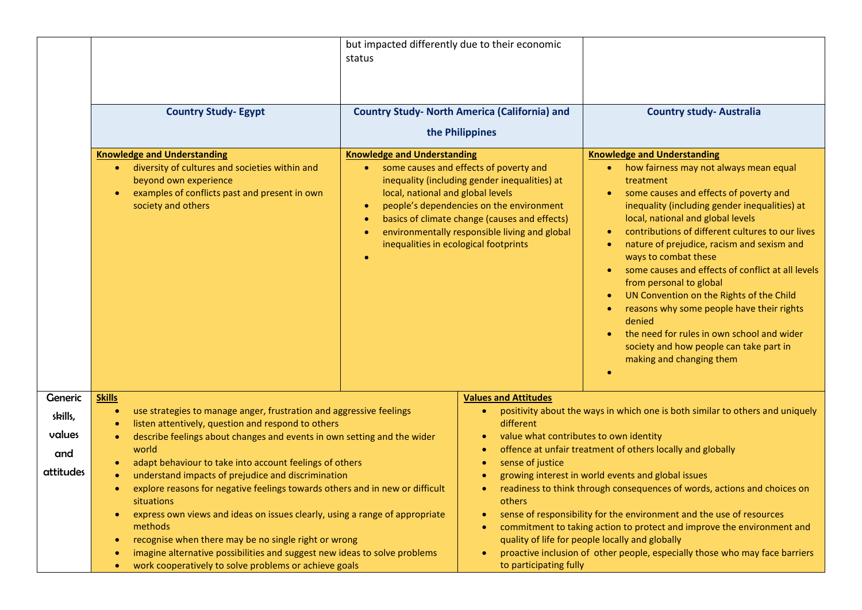|                |                                                                                                                                                                                        | but impacted differently due to their economic<br>status                                                         |                                                                                                                                                                                                                                       |                                                                                                                                                                                                                                                                                                                                                                                                                                                                                                                                                                                                                                                                                                           |  |
|----------------|----------------------------------------------------------------------------------------------------------------------------------------------------------------------------------------|------------------------------------------------------------------------------------------------------------------|---------------------------------------------------------------------------------------------------------------------------------------------------------------------------------------------------------------------------------------|-----------------------------------------------------------------------------------------------------------------------------------------------------------------------------------------------------------------------------------------------------------------------------------------------------------------------------------------------------------------------------------------------------------------------------------------------------------------------------------------------------------------------------------------------------------------------------------------------------------------------------------------------------------------------------------------------------------|--|
|                | <b>Country Study- Egypt</b>                                                                                                                                                            | <b>Country Study- North America (California) and</b><br>the Philippines                                          |                                                                                                                                                                                                                                       | <b>Country study- Australia</b>                                                                                                                                                                                                                                                                                                                                                                                                                                                                                                                                                                                                                                                                           |  |
|                | <b>Knowledge and Understanding</b><br>• diversity of cultures and societies within and<br>beyond own experience<br>examples of conflicts past and present in own<br>society and others | <b>Knowledge and Understanding</b><br>local, national and global levels<br>inequalities in ecological footprints | some causes and effects of poverty and<br>inequality (including gender inequalities) at<br>people's dependencies on the environment<br>basics of climate change (causes and effects)<br>environmentally responsible living and global | <b>Knowledge and Understanding</b><br>• how fairness may not always mean equal<br>treatment<br>some causes and effects of poverty and<br>$\bullet$<br>inequality (including gender inequalities) at<br>local, national and global levels<br>contributions of different cultures to our lives<br>nature of prejudice, racism and sexism and<br>٠<br>ways to combat these<br>some causes and effects of conflict at all levels<br>$\bullet$<br>from personal to global<br>UN Convention on the Rights of the Child<br>$\bullet$<br>reasons why some people have their rights<br>denied<br>the need for rules in own school and wider<br>society and how people can take part in<br>making and changing them |  |
| <b>Generic</b> | <b>Skills</b>                                                                                                                                                                          |                                                                                                                  | <b>Values and Attitudes</b>                                                                                                                                                                                                           |                                                                                                                                                                                                                                                                                                                                                                                                                                                                                                                                                                                                                                                                                                           |  |
| skills,        | use strategies to manage anger, frustration and aggressive feelings<br>$\bullet$                                                                                                       |                                                                                                                  | $\bullet$                                                                                                                                                                                                                             | positivity about the ways in which one is both similar to others and uniquely                                                                                                                                                                                                                                                                                                                                                                                                                                                                                                                                                                                                                             |  |
| values         | listen attentively, question and respond to others<br>describe feelings about changes and events in own setting and the wider                                                          |                                                                                                                  | different<br>value what contributes to own identity<br>offence at unfair treatment of others locally and globally<br>$\bullet$<br>sense of justice<br>$\bullet$<br>growing interest in world events and global issues                 |                                                                                                                                                                                                                                                                                                                                                                                                                                                                                                                                                                                                                                                                                                           |  |
| and            | world                                                                                                                                                                                  |                                                                                                                  |                                                                                                                                                                                                                                       |                                                                                                                                                                                                                                                                                                                                                                                                                                                                                                                                                                                                                                                                                                           |  |
| attitudes      | adapt behaviour to take into account feelings of others<br>understand impacts of prejudice and discrimination                                                                          |                                                                                                                  |                                                                                                                                                                                                                                       |                                                                                                                                                                                                                                                                                                                                                                                                                                                                                                                                                                                                                                                                                                           |  |
|                | explore reasons for negative feelings towards others and in new or difficult                                                                                                           |                                                                                                                  |                                                                                                                                                                                                                                       | readiness to think through consequences of words, actions and choices on                                                                                                                                                                                                                                                                                                                                                                                                                                                                                                                                                                                                                                  |  |
|                | situations<br>express own views and ideas on issues clearly, using a range of appropriate<br>$\bullet$<br>methods                                                                      |                                                                                                                  | others                                                                                                                                                                                                                                | sense of responsibility for the environment and the use of resources<br>commitment to taking action to protect and improve the environment and                                                                                                                                                                                                                                                                                                                                                                                                                                                                                                                                                            |  |
|                | recognise when there may be no single right or wrong<br>$\bullet$<br>imagine alternative possibilities and suggest new ideas to solve problems<br>٠                                    |                                                                                                                  | $\bullet$                                                                                                                                                                                                                             | quality of life for people locally and globally<br>proactive inclusion of other people, especially those who may face barriers                                                                                                                                                                                                                                                                                                                                                                                                                                                                                                                                                                            |  |
|                | work cooperatively to solve problems or achieve goals<br>$\bullet$                                                                                                                     |                                                                                                                  | to participating fully                                                                                                                                                                                                                |                                                                                                                                                                                                                                                                                                                                                                                                                                                                                                                                                                                                                                                                                                           |  |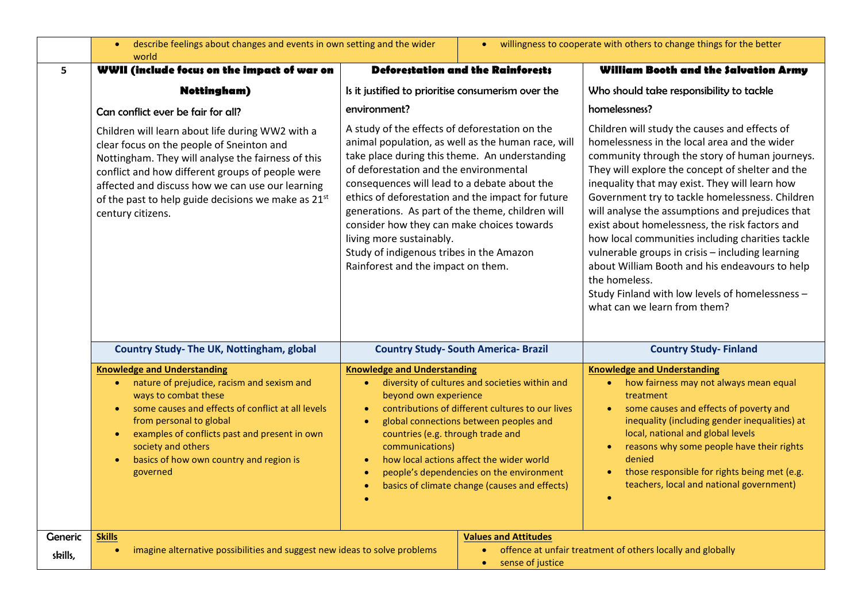|                    | describe feelings about changes and events in own setting and the wider<br>$\bullet$<br>world                                                                                                                                                                                                                                                       |                                                                                                                                                                                                                                                                                                                                                                                                                                                                                                                                                                                                                                                                                                                                                                                                                                                                                                                                                                                                                                                                                                                             | willingness to cooperate with others to change things for the better<br>$\bullet$ |                                                                                                                                                                                                                                                                                                                                                                                                                                                                                                                                                                                                                                                                              |
|--------------------|-----------------------------------------------------------------------------------------------------------------------------------------------------------------------------------------------------------------------------------------------------------------------------------------------------------------------------------------------------|-----------------------------------------------------------------------------------------------------------------------------------------------------------------------------------------------------------------------------------------------------------------------------------------------------------------------------------------------------------------------------------------------------------------------------------------------------------------------------------------------------------------------------------------------------------------------------------------------------------------------------------------------------------------------------------------------------------------------------------------------------------------------------------------------------------------------------------------------------------------------------------------------------------------------------------------------------------------------------------------------------------------------------------------------------------------------------------------------------------------------------|-----------------------------------------------------------------------------------|------------------------------------------------------------------------------------------------------------------------------------------------------------------------------------------------------------------------------------------------------------------------------------------------------------------------------------------------------------------------------------------------------------------------------------------------------------------------------------------------------------------------------------------------------------------------------------------------------------------------------------------------------------------------------|
| 5                  | WWII (include focus on the impact of war on                                                                                                                                                                                                                                                                                                         | <b>Deforestation and the Rainforests</b>                                                                                                                                                                                                                                                                                                                                                                                                                                                                                                                                                                                                                                                                                                                                                                                                                                                                                                                                                                                                                                                                                    |                                                                                   | William Booth and the Salvation Army                                                                                                                                                                                                                                                                                                                                                                                                                                                                                                                                                                                                                                         |
|                    | <b>Nottingham</b> )                                                                                                                                                                                                                                                                                                                                 | Is it justified to prioritise consumerism over the<br>environment?<br>A study of the effects of deforestation on the<br>animal population, as well as the human race, will<br>take place during this theme. An understanding<br>of deforestation and the environmental<br>consequences will lead to a debate about the<br>ethics of deforestation and the impact for future<br>generations. As part of the theme, children will<br>consider how they can make choices towards<br>living more sustainably.<br>Study of indigenous tribes in the Amazon<br>Rainforest and the impact on them.<br><b>Country Study- South America- Brazil</b><br><b>Knowledge and Understanding</b><br>diversity of cultures and societies within and<br>$\bullet$<br>beyond own experience<br>contributions of different cultures to our lives<br>$\bullet$<br>global connections between peoples and<br>$\bullet$<br>countries (e.g. through trade and<br>communications)<br>how local actions affect the wider world<br>$\bullet$<br>people's dependencies on the environment<br>basics of climate change (causes and effects)<br>$\bullet$ |                                                                                   | Who should take responsibility to tackle                                                                                                                                                                                                                                                                                                                                                                                                                                                                                                                                                                                                                                     |
|                    | Can conflict ever be fair for all?                                                                                                                                                                                                                                                                                                                  |                                                                                                                                                                                                                                                                                                                                                                                                                                                                                                                                                                                                                                                                                                                                                                                                                                                                                                                                                                                                                                                                                                                             |                                                                                   | homelessness?                                                                                                                                                                                                                                                                                                                                                                                                                                                                                                                                                                                                                                                                |
|                    | Children will learn about life during WW2 with a<br>clear focus on the people of Sneinton and<br>Nottingham. They will analyse the fairness of this<br>conflict and how different groups of people were<br>affected and discuss how we can use our learning<br>of the past to help guide decisions we make as 21 <sup>st</sup><br>century citizens. |                                                                                                                                                                                                                                                                                                                                                                                                                                                                                                                                                                                                                                                                                                                                                                                                                                                                                                                                                                                                                                                                                                                             |                                                                                   | Children will study the causes and effects of<br>homelessness in the local area and the wider<br>community through the story of human journeys.<br>They will explore the concept of shelter and the<br>inequality that may exist. They will learn how<br>Government try to tackle homelessness. Children<br>will analyse the assumptions and prejudices that<br>exist about homelessness, the risk factors and<br>how local communities including charities tackle<br>vulnerable groups in crisis - including learning<br>about William Booth and his endeavours to help<br>the homeless.<br>Study Finland with low levels of homelessness -<br>what can we learn from them? |
|                    | Country Study- The UK, Nottingham, global                                                                                                                                                                                                                                                                                                           |                                                                                                                                                                                                                                                                                                                                                                                                                                                                                                                                                                                                                                                                                                                                                                                                                                                                                                                                                                                                                                                                                                                             |                                                                                   | <b>Country Study-Finland</b>                                                                                                                                                                                                                                                                                                                                                                                                                                                                                                                                                                                                                                                 |
|                    | <b>Knowledge and Understanding</b><br>nature of prejudice, racism and sexism and<br>$\bullet$<br>ways to combat these<br>some causes and effects of conflict at all levels<br>from personal to global<br>examples of conflicts past and present in own<br>society and others<br>basics of how own country and region is<br>governed                 |                                                                                                                                                                                                                                                                                                                                                                                                                                                                                                                                                                                                                                                                                                                                                                                                                                                                                                                                                                                                                                                                                                                             |                                                                                   | <b>Knowledge and Understanding</b><br>how fairness may not always mean equal<br>$\bullet$<br>treatment<br>some causes and effects of poverty and<br>$\bullet$<br>inequality (including gender inequalities) at<br>local, national and global levels<br>reasons why some people have their rights<br>denied<br>those responsible for rights being met (e.g.<br>teachers, local and national government)                                                                                                                                                                                                                                                                       |
| Generic<br>skills, | <b>Skills</b><br>imagine alternative possibilities and suggest new ideas to solve problems<br>$\bullet$                                                                                                                                                                                                                                             | <b>Values and Attitudes</b><br>۰<br>sense of justice<br>$\bullet$                                                                                                                                                                                                                                                                                                                                                                                                                                                                                                                                                                                                                                                                                                                                                                                                                                                                                                                                                                                                                                                           |                                                                                   | offence at unfair treatment of others locally and globally                                                                                                                                                                                                                                                                                                                                                                                                                                                                                                                                                                                                                   |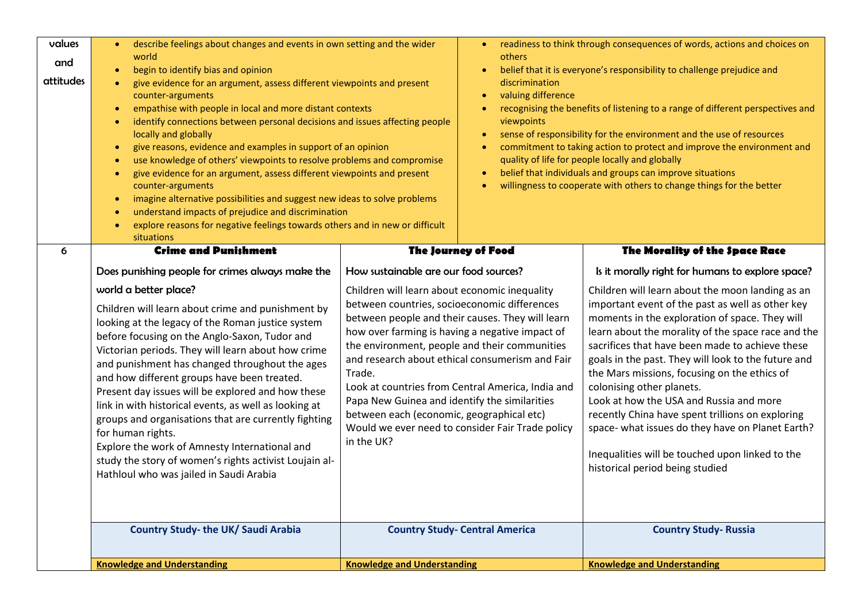| values<br>and<br>attitudes | describe feelings about changes and events in own setting and the wider<br>world<br>begin to identify bias and opinion<br>give evidence for an argument, assess different viewpoints and present<br>counter-arguments<br>empathise with people in local and more distant contexts<br>$\bullet$<br>identify connections between personal decisions and issues affecting people<br>$\bullet$<br>locally and globally<br>give reasons, evidence and examples in support of an opinion<br>$\bullet$<br>use knowledge of others' viewpoints to resolve problems and compromise<br>$\bullet$<br>give evidence for an argument, assess different viewpoints and present<br>$\bullet$<br>counter-arguments<br>imagine alternative possibilities and suggest new ideas to solve problems<br>$\bullet$<br>understand impacts of prejudice and discrimination<br>$\bullet$<br>explore reasons for negative feelings towards others and in new or difficult<br>$\bullet$<br>situations | others<br>discrimination<br>valuing difference<br>$\bullet$<br>viewpoints<br>$\bullet$<br>$\bullet$<br>$\bullet$                                                                                                                                                                                                                                                                                                                                                                                                                        | readiness to think through consequences of words, actions and choices on<br>belief that it is everyone's responsibility to challenge prejudice and<br>recognising the benefits of listening to a range of different perspectives and<br>sense of responsibility for the environment and the use of resources<br>commitment to taking action to protect and improve the environment and<br>quality of life for people locally and globally<br>belief that individuals and groups can improve situations<br>willingness to cooperate with others to change things for the better                                                               |  |
|----------------------------|----------------------------------------------------------------------------------------------------------------------------------------------------------------------------------------------------------------------------------------------------------------------------------------------------------------------------------------------------------------------------------------------------------------------------------------------------------------------------------------------------------------------------------------------------------------------------------------------------------------------------------------------------------------------------------------------------------------------------------------------------------------------------------------------------------------------------------------------------------------------------------------------------------------------------------------------------------------------------|-----------------------------------------------------------------------------------------------------------------------------------------------------------------------------------------------------------------------------------------------------------------------------------------------------------------------------------------------------------------------------------------------------------------------------------------------------------------------------------------------------------------------------------------|----------------------------------------------------------------------------------------------------------------------------------------------------------------------------------------------------------------------------------------------------------------------------------------------------------------------------------------------------------------------------------------------------------------------------------------------------------------------------------------------------------------------------------------------------------------------------------------------------------------------------------------------|--|
| 6                          | <b>Crime and Punishment</b>                                                                                                                                                                                                                                                                                                                                                                                                                                                                                                                                                                                                                                                                                                                                                                                                                                                                                                                                                | <b>The Journey of Food</b>                                                                                                                                                                                                                                                                                                                                                                                                                                                                                                              | The Morality of the Space Race                                                                                                                                                                                                                                                                                                                                                                                                                                                                                                                                                                                                               |  |
|                            | Does punishing people for crimes always make the                                                                                                                                                                                                                                                                                                                                                                                                                                                                                                                                                                                                                                                                                                                                                                                                                                                                                                                           | How sustainable are our food sources?                                                                                                                                                                                                                                                                                                                                                                                                                                                                                                   | Is it morally right for humans to explore space?                                                                                                                                                                                                                                                                                                                                                                                                                                                                                                                                                                                             |  |
|                            | world a better place?<br>Children will learn about crime and punishment by<br>looking at the legacy of the Roman justice system<br>before focusing on the Anglo-Saxon, Tudor and<br>Victorian periods. They will learn about how crime<br>and punishment has changed throughout the ages<br>and how different groups have been treated.<br>Present day issues will be explored and how these<br>link in with historical events, as well as looking at<br>groups and organisations that are currently fighting<br>for human rights.<br>Explore the work of Amnesty International and<br>study the story of women's rights activist Loujain al-<br>Hathloul who was jailed in Saudi Arabia                                                                                                                                                                                                                                                                                   | Children will learn about economic inequality<br>between countries, socioeconomic differences<br>between people and their causes. They will learn<br>how over farming is having a negative impact of<br>the environment, people and their communities<br>and research about ethical consumerism and Fair<br>Trade.<br>Look at countries from Central America, India and<br>Papa New Guinea and identify the similarities<br>between each (economic, geographical etc)<br>Would we ever need to consider Fair Trade policy<br>in the UK? | Children will learn about the moon landing as an<br>important event of the past as well as other key<br>moments in the exploration of space. They will<br>learn about the morality of the space race and the<br>sacrifices that have been made to achieve these<br>goals in the past. They will look to the future and<br>the Mars missions, focusing on the ethics of<br>colonising other planets.<br>Look at how the USA and Russia and more<br>recently China have spent trillions on exploring<br>space- what issues do they have on Planet Earth?<br>Inequalities will be touched upon linked to the<br>historical period being studied |  |
|                            | <b>Country Study- the UK/ Saudi Arabia</b>                                                                                                                                                                                                                                                                                                                                                                                                                                                                                                                                                                                                                                                                                                                                                                                                                                                                                                                                 | <b>Country Study- Central America</b>                                                                                                                                                                                                                                                                                                                                                                                                                                                                                                   | <b>Country Study- Russia</b>                                                                                                                                                                                                                                                                                                                                                                                                                                                                                                                                                                                                                 |  |
|                            | <b>Knowledge and Understanding</b>                                                                                                                                                                                                                                                                                                                                                                                                                                                                                                                                                                                                                                                                                                                                                                                                                                                                                                                                         | <b>Knowledge and Understanding</b>                                                                                                                                                                                                                                                                                                                                                                                                                                                                                                      | <b>Knowledge and Understanding</b>                                                                                                                                                                                                                                                                                                                                                                                                                                                                                                                                                                                                           |  |